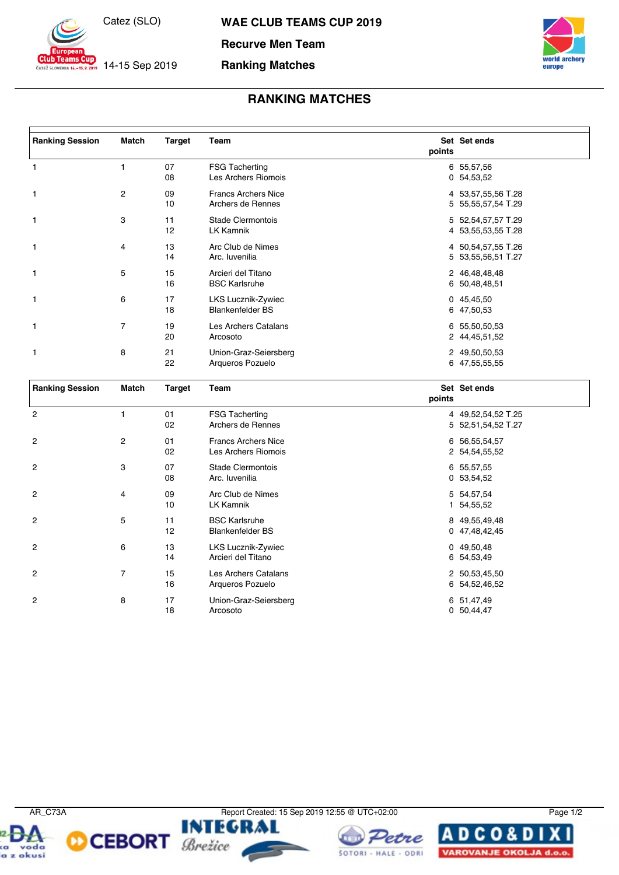

14-15 Sep 2019

ČATEŽ SLOVENIA

**WAE CLUB TEAMS CUP 2019**

**Recurve Men Team**

## **Ranking Matches**



## **RANKING MATCHES**

| <b>Ranking Session</b> | Match | <b>Target</b> | Team                                            | points | Set Set ends                             |
|------------------------|-------|---------------|-------------------------------------------------|--------|------------------------------------------|
| $\mathbf{1}$           |       | 07<br>08      | <b>FSG Tacherting</b><br>Les Archers Riomois    |        | 6 55,57,56<br>0 54,53,52                 |
| $\mathbf{1}$           | 2     | 09<br>10      | <b>Francs Archers Nice</b><br>Archers de Rennes |        | 4 53,57,55,56 T.28<br>5 55,55,57,54 T.29 |
| $\mathbf{1}$           | 3     | 11<br>12      | Stade Clermontois<br><b>LK Kamnik</b>           |        | 5 52,54,57,57 T.29<br>4 53,55,53,55 T.28 |
| $\mathbf{1}$           | 4     | 13<br>14      | Arc Club de Nimes<br>Arc. Iuvenilia             |        | 4 50,54,57,55 T.26<br>5 53,55,56,51 T.27 |
| $\mathbf{1}$           | 5     | 15<br>16      | Arcieri del Titano<br><b>BSC Karlsruhe</b>      |        | 2 46,48,48,48<br>6 50,48,48,51           |
| 1                      | 6     | 17<br>18      | LKS Lucznik-Zywiec<br><b>Blankenfelder BS</b>   |        | 045,45,50<br>6 47,50,53                  |
| $\mathbf{1}$           | 7     | 19<br>20      | Les Archers Catalans<br>Arcosoto                |        | 6 55,50,50,53<br>2 44,45,51,52           |
| $\mathbf{1}$           | 8     | 21<br>22      | Union-Graz-Seiersberg<br>Arqueros Pozuelo       |        | 2 49,50,50,53<br>6 47,55,55,55           |

| <b>Ranking Session</b> | Match          | <b>Target</b> | Team                                              | points | Set Set ends                             |
|------------------------|----------------|---------------|---------------------------------------------------|--------|------------------------------------------|
| $\overline{2}$         |                | 01<br>02      | <b>FSG Tacherting</b><br>Archers de Rennes        |        | 4 49,52,54,52 T.25<br>5 52,51,54,52 T.27 |
| 2                      | $\overline{c}$ | 01<br>02      | <b>Francs Archers Nice</b><br>Les Archers Riomois |        | 6 56,55,54,57<br>2 54,54,55,52           |
| $\overline{2}$         | 3              | 07<br>08      | Stade Clermontois<br>Arc. Iuvenilia               |        | 6 55,57,55<br>0 53,54,52                 |
| $\overline{2}$         | 4              | 09<br>10      | Arc Club de Nimes<br>LK Kamnik                    |        | 5 54,57,54<br>1 54,55,52                 |
| $\overline{2}$         | 5              | 11<br>12      | <b>BSC Karlsruhe</b><br><b>Blankenfelder BS</b>   |        | 8 49,55,49,48<br>0 47,48,42,45           |
| $\overline{2}$         | 6              | 13<br>14      | LKS Lucznik-Zywiec<br>Arcieri del Titano          |        | 049,50,48<br>6 54,53,49                  |
| 2                      | 7              | 15<br>16      | Les Archers Catalans<br>Arqueros Pozuelo          |        | 2 50,53,45,50<br>6 54,52,46,52           |
| $\overline{2}$         | 8              | 17<br>18      | Union-Graz-Seiersberg<br>Arcosoto                 |        | 6 51,47,49<br>0 50,44,47                 |